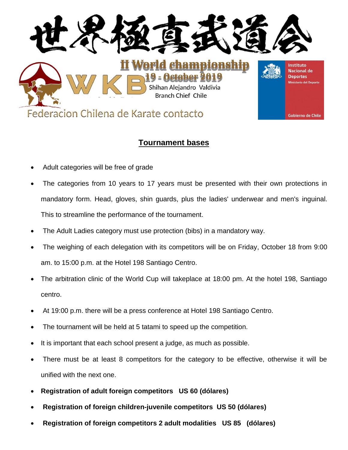

## **Tournament bases**

- Adult categories will be free of grade
- The categories from 10 years to 17 years must be presented with their own protections in mandatory form. Head, gloves, shin guards, plus the ladies' underwear and men's inguinal. This to streamline the performance of the tournament.
- The Adult Ladies category must use protection (bibs) in a mandatory way.
- The weighing of each delegation with its competitors will be on Friday, October 18 from 9:00 am. to 15:00 p.m. at the Hotel 198 Santiago Centro.
- The arbitration clinic of the World Cup will takeplace at 18:00 pm. At the hotel 198, Santiago centro.
- At 19:00 p.m. there will be a press conference at Hotel 198 Santiago Centro.
- The tournament will be held at 5 tatami to speed up the competition.
- It is important that each school present a judge, as much as possible.
- There must be at least 8 competitors for the category to be effective, otherwise it will be unified with the next one.
- **Registration of adult foreign competitors US 60 (dólares)**
- **Registration of foreign children-juvenile competitors US 50 (dólares)**
- **Registration of foreign competitors 2 adult modalities US 85 (dólares)**